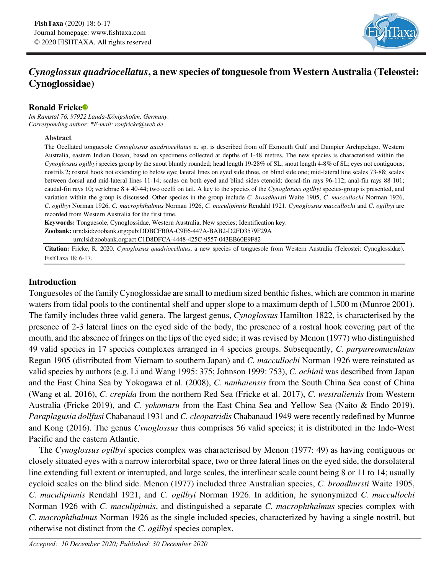

# *Cynoglossus quadriocellatus***, a new species of tonguesole from Western Australia (Teleostei: Cynoglossidae)**

## **Ronald Frick[e](https://orcid.org/0000-0003-1476-6990)**

*Im Ramstal 76, 97922 Lauda-Königshofen, Germany. Corresponding author: \*E-mail: ronfricke@web.de*

#### **Abstract**

The Ocellated tonguesole *Cynoglossus quadriocellatus* n. sp. is described from off Exmouth Gulf and Dampier Archipelago, Western Australia, eastern Indian Ocean, based on specimens collected at depths of 1-48 metres. The new species is characterised within the *Cynoglossus ogilbyi* species group by the snout bluntly rounded; head length 19-28% of SL, snout length 4-8% of SL; eyes not contiguous; nostrils 2; rostral hook not extending to below eye; lateral lines on eyed side three, on blind side one; mid-lateral line scales 73-88; scales between dorsal and mid-lateral lines 11-14; scales on both eyed and blind sides ctenoid; dorsal-fin rays 96-112; anal-fin rays 88-101; caudal-fin rays 10; vertebrae 8 + 40-44; two ocelli on tail. A key to the species of the *Cynoglossus ogilbyi* species-group is presented, and variation within the group is discussed. Other species in the group include *C. broadhursti* Waite 1905, *C. maccullochi* Norman 1926, *C. ogilbyi* Norman 1926, *C. macrophthalmus* Norman 1926, *C. maculipinnis* Rendahl 1921. *Cynoglossus maccullochi* and *C. ogilbyi* are recorded from Western Australia for the first time.

**Keywords:** Tonguesole, Cynoglossidae, Western Australia, New species; Identification key.

**Zoobank:** urn:lsid:zoobank.org:pub:DDBCFB0A-C9E6-447A-BAB2-D2FD3579F29A urn:lsid:zoobank.org:act:C1D8DFCA-4448-425C-9557-043EB60E9F82

**Citation:** Fricke, R. 2020. *Cynoglossus quadriocellatus*, a new species of tonguesole from Western Australia (Teleostei: Cynoglossidae). FishTaxa 18: 6-17.

## **Introduction**

Tonguesoles of the family Cynoglossidae are small to medium sized benthic fishes, which are common in marine waters from tidal pools to the continental shelf and upper slope to a maximum depth of 1,500 m (Munroe 2001). The family includes three valid genera. The largest genus, *Cynoglossus* Hamilton 1822, is characterised by the presence of 2-3 lateral lines on the eyed side of the body, the presence of a rostral hook covering part of the mouth, and the absence of fringes on the lips of the eyed side; it was revised by Menon (1977) who distinguished 49 valid species in 17 species complexes arranged in 4 species groups. Subsequently, *C. purpureomaculatus* Regan 1905 (distributed from Vietnam to southern Japan) and *C. maccullochi* Norman 1926 were reinstated as valid species by authors (e.g. Li and Wang 1995: 375; Johnson 1999: 753), *C. ochiaii* was described from Japan and the East China Sea by Yokogawa et al. (2008), *C. nanhaiensis* from the South China Sea coast of China (Wang et al. 2016), *C. crepida* from the northern Red Sea (Fricke et al. 2017), *C. westraliensis* from Western Australia (Fricke 2019), and *C. yokomaru* from the East China Sea and Yellow Sea (Naito & Endo 2019). *Paraplagusia dollfusi* Chabanaud 1931 and *C. cleopatridis* Chabanaud 1949 were recently redefined by Munroe and Kong (2016). The genus *Cynoglossus* thus comprises 56 valid species; it is distributed in the Indo-West Pacific and the eastern Atlantic.

The *Cynoglossus ogilbyi* species complex was characterised by Menon (1977: 49) as having contiguous or closely situated eyes with a narrow interorbital space, two or three lateral lines on the eyed side, the dorsolateral line extending full extent or interrupted, and large scales, the interlinear scale count being 8 or 11 to 14; usually cycloid scales on the blind side. Menon (1977) included three Australian species, *C. broadhursti* Waite 1905, *C. maculipinnis* Rendahl 1921, and *C. ogilbyi* Norman 1926. In addition, he synonymized *C. maccullochi* Norman 1926 with *C. maculipinnis*, and distinguished a separate *C. macrophthalmus* species complex with *C. macrophthalmus* Norman 1926 as the single included species, characterized by having a single nostril, but otherwise not distinct from the *C. ogilbyi* species complex.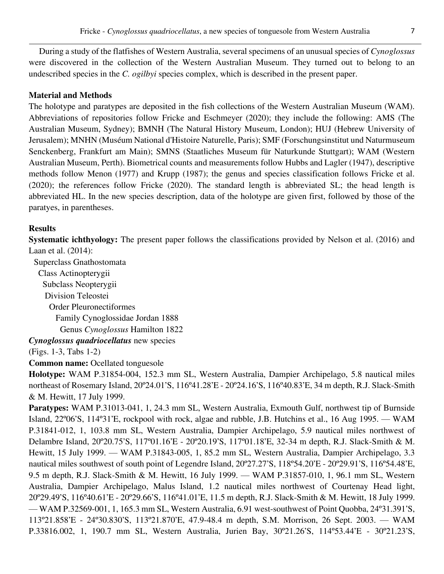During a study of the flatfishes of Western Australia, several specimens of an unusual species of *Cynoglossus*  were discovered in the collection of the Western Australian Museum. They turned out to belong to an undescribed species in the *C. ogilbyi* species complex, which is described in the present paper.

### **Material and Methods**

The holotype and paratypes are deposited in the fish collections of the Western Australian Museum (WAM). Abbreviations of repositories follow Fricke and Eschmeyer (2020); they include the following: AMS (The Australian Museum, Sydney); BMNH (The Natural History Museum, London); HUJ (Hebrew University of Jerusalem); MNHN (Muséum National d'Histoire Naturelle, Paris); SMF (Forschungsinstitut und Naturmuseum Senckenberg, Frankfurt am Main); SMNS (Staatliches Museum für Naturkunde Stuttgart); WAM (Western Australian Museum, Perth). Biometrical counts and measurements follow Hubbs and Lagler (1947), descriptive methods follow Menon (1977) and Krupp (1987); the genus and species classification follows Fricke et al. (2020); the references follow Fricke (2020). The standard length is abbreviated SL; the head length is abbreviated HL. In the new species description, data of the holotype are given first, followed by those of the paratyes, in parentheses.

### **Results**

**Systematic ichthyology:** The present paper follows the classifications provided by Nelson et al. (2016) and Laan et al. (2014):

Superclass Gnathostomata

 Class Actinopterygii Subclass Neopterygii Division Teleostei Order Pleuronectiformes Family Cynoglossidae Jordan 1888

Genus *Cynoglossus* Hamilton 1822

*Cynoglossus quadriocellatus* new species

(Figs. 1-3, Tabs 1-2)

**Common name: Ocellated tonguesole** 

**Holotype:** WAM P.31854-004, 152.3 mm SL, Western Australia, Dampier Archipelago, 5.8 nautical miles northeast of Rosemary Island, 20º24.01'S, 116º41.28'E - 20º24.16'S, 116º40.83'E, 34 m depth, R.J. Slack-Smith & M. Hewitt, 17 July 1999.

**Paratypes:** WAM P.31013-041, 1, 24.3 mm SL, Western Australia, Exmouth Gulf, northwest tip of Burnside Island, 22°06'S, 114°31'E, rockpool with rock, algae and rubble, J.B. Hutchins et al., 16 Aug 1995. — WAM P.31841-012, 1, 103.8 mm SL, Western Australia, Dampier Archipelago, 5.9 nautical miles northwest of Delambre Island, 20º20.75'S, 117º01.16'E - 20º20.19'S, 117º01.18'E, 32-34 m depth, R.J. Slack-Smith & M. Hewitt, 15 July 1999. — WAM P.31843-005, 1, 85.2 mm SL, Western Australia, Dampier Archipelago, 3.3 nautical miles southwest of south point of Legendre Island, 20º27.27'S, 118º54.20'E - 20º29.91'S, 116º54.48'E, 9.5 m depth, R.J. Slack-Smith & M. Hewitt, 16 July 1999. — WAM P.31857-010, 1, 96.1 mm SL, Western Australia, Dampier Archipelago, Malus Island, 1.2 nautical miles northwest of Courtenay Head light, 20º29.49'S, 116º40.61'E - 20º29.66'S, 116º41.01'E, 11.5 m depth, R.J. Slack-Smith & M. Hewitt, 18 July 1999. ⸺ WAM P.32569-001, 1, 165.3 mm SL, Western Australia, 6.91 west-southwest of Point Quobba, 24º31.391'S, 113º21.858'E - 24º30.830'S, 113º21.870'E, 47.9-48.4 m depth, S.M. Morrison, 26 Sept. 2003. ⸺ WAM P.33816.002, 1, 190.7 mm SL, Western Australia, Jurien Bay, 30º21.26'S, 114º53.44'E - 30º21.23'S,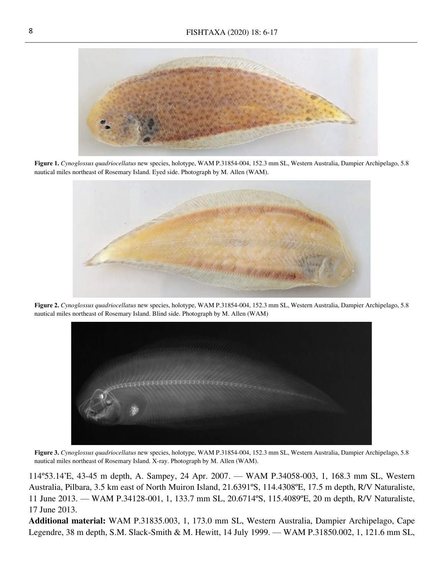

**Figure 1.** *Cynoglossus quadriocellatus* new species, holotype, WAM P.31854-004, 152.3 mm SL, Western Australia, Dampier Archipelago, 5.8 nautical miles northeast of Rosemary Island. Eyed side. Photograph by M. Allen (WAM).



**Figure 2.** *Cynoglossus quadriocellatus* new species, holotype, WAM P.31854-004, 152.3 mm SL, Western Australia, Dampier Archipelago, 5.8 nautical miles northeast of Rosemary Island. Blind side. Photograph by M. Allen (WAM)



**Figure 3.** *Cynoglossus quadriocellatus* new species, holotype, WAM P.31854-004, 152.3 mm SL, Western Australia, Dampier Archipelago, 5.8 nautical miles northeast of Rosemary Island. X-ray. Photograph by M. Allen (WAM).

114º53.14'E, 43-45 m depth, A. Sampey, 24 Apr. 2007. ⸺ WAM P.34058-003, 1, 168.3 mm SL, Western Australia, Pilbara, 3.5 km east of North Muiron Island, 21.6391ºS, 114.4308ºE, 17.5 m depth, R/V Naturaliste, 11 June 2013. ⸺ WAM P.34128-001, 1, 133.7 mm SL, 20.6714ºS, 115.4089ºE, 20 m depth, R/V Naturaliste, 17 June 2013.

**Additional material:** WAM P.31835.003, 1, 173.0 mm SL, Western Australia, Dampier Archipelago, Cape Legendre, 38 m depth, S.M. Slack-Smith & M. Hewitt, 14 July 1999. — WAM P.31850.002, 1, 121.6 mm SL,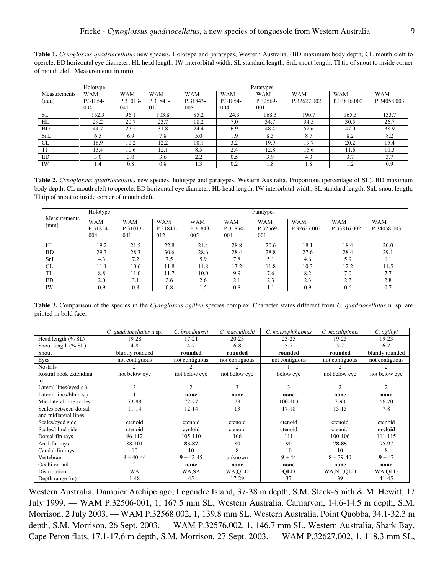| Table 1. Cynoglossus quadriocellatus new species, Holotype and paratypes, Western Australia. (BD maximum body depth; CL mouth cleft to             |
|----------------------------------------------------------------------------------------------------------------------------------------------------|
| opercle; ED horizontal eye diameter; HL head length; IW interorbital width; SL standard length; SnL snout length; TI tip of snout to inside corner |
| of mouth cleft. Measurements in mm).                                                                                                               |

|              | Holotype   | Paratypes  |            |            |            |            |             |             |             |
|--------------|------------|------------|------------|------------|------------|------------|-------------|-------------|-------------|
| Measurements | <b>WAM</b> | <b>WAM</b> | <b>WAM</b> | <b>WAM</b> | <b>WAM</b> | <b>WAM</b> | <b>WAM</b>  | <b>WAM</b>  | <b>WAM</b>  |
| (mm)         | P.31854-   | P.31013-   | P.31841-   | P.31843-   | P.31854-   | P.32569-   | P.32627.002 | P.33816.002 | P.34058.003 |
|              | 004        | 041        | 012        | 005        | 004        | 001        |             |             |             |
| <b>SL</b>    | 152.3      | 96.1       | 103.8      | 85.2       | 24.3       | 168.3      | 190.7       | 165.3       | 133.7       |
| HL           | 29.2       | 20.7       | 23.7       | 18.2       | 7.0        | 34.7       | 34.5        | 30.5        | 26.7        |
| BD.          | 44.7       | 27.2       | 31.8       | 24.4       | 6.9        | 48.4       | 52.6        | 47.0        | 38.9        |
| SnL          | 6.5        | 6.9        | 7.8        | 5.0        | 1.9        | 8.5        | 8.7         | 8.2         | 8.2         |
| CL           | 16.9       | 10.2       | 12.2       | 10.1       | 3.2        | 19.9       | 19.7        | 20.2        | 15.4        |
| TI           | 13.4       | 10.6       | 12.1       | 8.5        | 2.4        | 12.8       | 15.6        | 11.6        | 10.3        |
| <b>ED</b>    | 3.0        | 3.0        | 3.6        | 2.2        | 0.5        | 3.9        | 4.3         | 3.7         | 3.7         |
| IW           | 1.4        | 0.8        | 0.8        | 1.3        | 0.2        | 1.8        | 1.8         | 1.2         | 0.9         |

**Table 2.** *Cynoglossus quadriocellatus* new species, holotype and paratypes, Western Australia. Proportions (percentage of SL). BD maximum body depth; CL mouth cleft to opercle; ED horizontal eye diameter; HL head length; IW interorbital width; SL standard length; SnL snout length; TI tip of snout to inside corner of mouth cleft.

|                      | Holotype                      | Paratypes                     |                               |                               |                               |                               |                           |                           |                           |
|----------------------|-------------------------------|-------------------------------|-------------------------------|-------------------------------|-------------------------------|-------------------------------|---------------------------|---------------------------|---------------------------|
| Measurements<br>(mm) | <b>WAM</b><br>P.31854-<br>004 | <b>WAM</b><br>P.31013-<br>041 | <b>WAM</b><br>P.31841-<br>012 | <b>WAM</b><br>P.31843-<br>005 | <b>WAM</b><br>P.31854-<br>004 | <b>WAM</b><br>P.32569-<br>001 | <b>WAM</b><br>P.32627.002 | <b>WAM</b><br>P.33816.002 | <b>WAM</b><br>P.34058.003 |
| HL                   | 19.2                          | 21.5                          | 22.8                          | 21.4                          | 28.8                          | 20.6                          | 18.1                      | 18.4                      | 20.0                      |
| <b>BD</b>            | 29.3                          | 28.3                          | 30.6                          | 28.6                          | 28.4                          | 28.8                          | 27.6                      | 28.4                      | 29.1                      |
| SnL                  | 4.3                           | 7.2                           | 7.5                           | 5.9                           | 7.8                           | 5.1                           | 4.6                       | 5.9                       | 6.1                       |
| CL                   | 11.1                          | 10.6                          | 11.8                          | 11.8                          | 13.2                          | 11.8                          | 10.3                      | 12.2                      | 11.5                      |
| TI                   | 8.8                           | l 1.0                         | 11.7                          | 10.0                          | 9.9                           | 7.6                           | 8.2                       | 7.0                       | 7.7                       |
| <b>ED</b>            | 2.0                           | 3.1                           | 2.6                           | 2.6                           | 2.1                           | 2.3                           | 2.3                       | 2.2                       | 2.8                       |
| IW                   | 0.9                           | 0.8                           | 0.8                           | . . 5                         | 0.8                           |                               | 0.9                       | 0.6                       | 0.7                       |

**Table 3.** Comparison of the species in the *Cynoglossus ogilbyi* species complex. Character states different from *C. quadriocellatus* n. sp. are printed in bold face.

|                         | C. quadriocellatus n.sp. | C. broadhursti | C. maccullochi | C. macrophthalmus | C. maculipinnis | C. ogilbyi      |
|-------------------------|--------------------------|----------------|----------------|-------------------|-----------------|-----------------|
| Head length (% SL)      | $19-28$                  | $17 - 21$      | $20 - 23$      | $23 - 25$         | 19-25           | 19-23           |
| Snout length $(\% SL)$  | $4 - 8$                  | $4 - 7$        | $6 - 8$        | $5 - 7$           | $5 - 7$         | $6 - 7$         |
| Snout                   | bluntly rounded          | rounded        | rounded        | rounded           | rounded         | bluntly rounded |
| Eyes                    | not contiguous           | not contiguous | not contiguous | not contiguous    | not contiguous  | not contiguous  |
| <b>Nostrils</b>         |                          |                |                |                   |                 |                 |
| Rostral hook extending  | not below eye            | not below eye  | not below eye  | below eye         | not below eye   | not below eye   |
| to                      |                          |                |                |                   |                 |                 |
| Lateral lines/eyed s.)  | 3                        | $\mathfrak{D}$ | $\mathbf{3}$   | $\mathbf{3}$      | $\mathfrak{D}$  | $\overline{c}$  |
| Lateral lines/blind s.) |                          | none           | none           | none              | none            | none            |
| Mid-lateral-line scales | 73-88                    | 72-77          | 78             | 100-103           | $7-90$          | 66-70           |
| Scales between dorsal   | $11 - 14$                | $12 - 14$      | 13             | $17-18$           | $13 - 15$       | $7 - 8$         |
| and midlateral lines    |                          |                |                |                   |                 |                 |
| Scales/eyed side        | ctenoid                  | ctenoid        | ctenoid        | ctenoid           | ctenoid         | ctenoid         |
| Scales/blind side       | ctenoid                  | cvcloid        | ctenoid        | ctenoid           | ctenoid         | cycloid         |
| Dorsal-fin rays         | 96-112                   | 105-110        | 106            | 111               | 100-106         | 111-115         |
| Anal-fin rays           | 88-101                   | 83-87          | 80             | 90                | 78-85           | 95-97           |
| Caudal-fin rays         | 10                       | 10             | 8              | 10                | 10              | 8               |
| Vertebrae               | $8 + 40 - 44$            | $9 + 42 - 45$  | unknown        | $9 + 44$          | $8 + 39 - 40$   | $9 + 47$        |
| Ocelli on tail          | 2                        | none           | none           | none              | none            | none            |
| Distribution            | <b>WA</b>                | WA,SA          | WA,QLD         | <b>OLD</b>        | WA,NT,OLD       | WA,QLD          |
| Depth range (m)         | l -48                    | 45             | 17-29          | 37                | 39              | 41-45           |

Western Australia, Dampier Archipelago, Legendre Island, 37-38 m depth, S.M. Slack-Smith & M. Hewitt, 17 July 1999. ⸺ WAM P.32506-001, 1, 167.5 mm SL, Western Australia, Carnarvon, 14.6-14.5 m depth, S.M. Morrison, 2 July 2003. — WAM P.32568.002, 1, 139.8 mm SL, Western Australia, Point Quobba, 34.1-32.3 m depth, S.M. Morrison, 26 Sept. 2003. — WAM P.32576.002, 1, 146.7 mm SL, Western Australia, Shark Bay, Cape Peron flats, 17.1-17.6 m depth, S.M. Morrison, 27 Sept. 2003. ⸺ WAM P.32627.002, 1, 118.3 mm SL,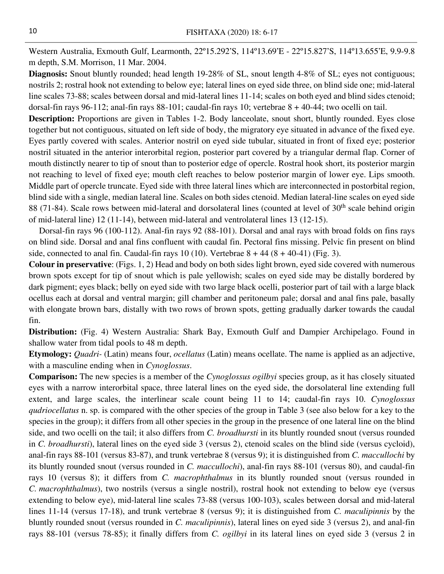Western Australia, Exmouth Gulf, Learmonth, 22º15.292'S, 114º13.69'E - 22º15.827'S, 114º13.655'E, 9.9-9.8 m depth, S.M. Morrison, 11 Mar. 2004.

**Diagnosis:** Snout bluntly rounded; head length 19-28% of SL, snout length 4-8% of SL; eyes not contiguous; nostrils 2; rostral hook not extending to below eye; lateral lines on eyed side three, on blind side one; mid-lateral line scales 73-88; scales between dorsal and mid-lateral lines 11-14; scales on both eyed and blind sides ctenoid; dorsal-fin rays 96-112; anal-fin rays 88-101; caudal-fin rays 10; vertebrae 8 + 40-44; two ocelli on tail.

**Description:** Proportions are given in Tables 1-2. Body lanceolate, snout short, bluntly rounded. Eyes close together but not contiguous, situated on left side of body, the migratory eye situated in advance of the fixed eye. Eyes partly covered with scales. Anterior nostril on eyed side tubular, situated in front of fixed eye; posterior nostril situated in the anterior interorbital region, posterior part covered by a triangular dermal flap. Corner of mouth distinctly nearer to tip of snout than to posterior edge of opercle. Rostral hook short, its posterior margin not reaching to level of fixed eye; mouth cleft reaches to below posterior margin of lower eye. Lips smooth. Middle part of opercle truncate. Eyed side with three lateral lines which are interconnected in postorbital region, blind side with a single, median lateral line. Scales on both sides ctenoid. Median lateral-line scales on eyed side 88 (71-84). Scale rows between mid-lateral and dorsolateral lines (counted at level of 30<sup>th</sup> scale behind origin of mid-lateral line) 12 (11-14), between mid-lateral and ventrolateral lines 13 (12-15).

Dorsal-fin rays 96 (100-112). Anal-fin rays 92 (88-101). Dorsal and anal rays with broad folds on fins rays on blind side. Dorsal and anal fins confluent with caudal fin. Pectoral fins missing. Pelvic fin present on blind side, connected to anal fin. Caudal-fin rays 10 (10). Vertebrae  $8 + 44 (8 + 40 - 41)$  (Fig. 3).

**Colour in preservative**: (Figs. 1, 2) Head and body on both sides light brown, eyed side covered with numerous brown spots except for tip of snout which is pale yellowish; scales on eyed side may be distally bordered by dark pigment; eyes black; belly on eyed side with two large black ocelli, posterior part of tail with a large black ocellus each at dorsal and ventral margin; gill chamber and peritoneum pale; dorsal and anal fins pale, basally with elongate brown bars, distally with two rows of brown spots, getting gradually darker towards the caudal fin.

**Distribution:** (Fig. 4) Western Australia: Shark Bay, Exmouth Gulf and Dampier Archipelago. Found in shallow water from tidal pools to 48 m depth.

**Etymology:** *Quadri-* (Latin) means four, *ocellatus* (Latin) means ocellate. The name is applied as an adjective, with a masculine ending when in *Cynoglossus*.

**Comparison:** The new species is a member of the *Cynoglossus ogilbyi* species group, as it has closely situated eyes with a narrow interorbital space, three lateral lines on the eyed side, the dorsolateral line extending full extent, and large scales, the interlinear scale count being 11 to 14; caudal-fin rays 10. *Cynoglossus qudriocellatus* n. sp. is compared with the other species of the group in Table 3 (see also below for a key to the species in the group); it differs from all other species in the group in the presence of one lateral line on the blind side, and two ocelli on the tail; it also differs from *C. broadhursti* in its bluntly rounded snout (versus rounded in *C. broadhursti*), lateral lines on the eyed side 3 (versus 2), ctenoid scales on the blind side (versus cycloid), anal-fin rays 88-101 (versus 83-87), and trunk vertebrae 8 (versus 9); it is distinguished from *C. maccullochi* by its bluntly rounded snout (versus rounded in *C. maccullochi*), anal-fin rays 88-101 (versus 80), and caudal-fin rays 10 (versus 8); it differs from *C. macrophthalmus* in its bluntly rounded snout (versus rounded in *C. macrophthalmus*), two nostrils (versus a single nostril), rostral hook not extending to below eye (versus extending to below eye), mid-lateral line scales 73-88 (versus 100-103), scales between dorsal and mid-lateral lines 11-14 (versus 17-18), and trunk vertebrae 8 (versus 9); it is distinguished from *C. maculipinnis* by the bluntly rounded snout (versus rounded in *C. maculipinnis*), lateral lines on eyed side 3 (versus 2), and anal-fin rays 88-101 (versus 78-85); it finally differs from *C. ogilbyi* in its lateral lines on eyed side 3 (versus 2 in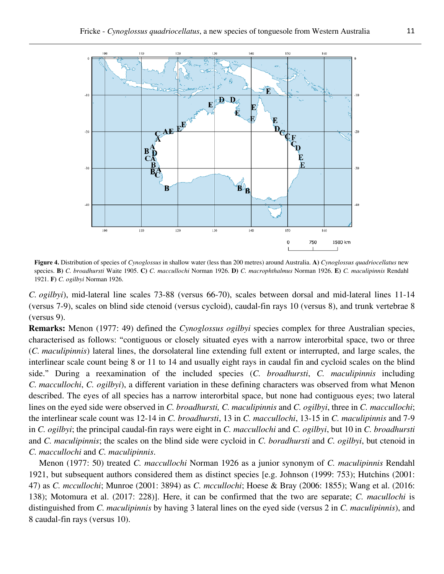

**Figure 4.** Distribution of species of *Cynoglossus* in shallow water (less than 200 metres) around Australia. **A)** *Cynoglossus quadriocellatus* new species. **B)** *C. broadhursti* Waite 1905. **C)** *C. maccullochi* Norman 1926. **D)** *C. macrophthalmus* Norman 1926. **E)** *C. maculipinnis* Rendahl 1921. **F)** *C. ogilbyi* Norman 1926.

*C. ogilbyi*), mid-lateral line scales 73-88 (versus 66-70), scales between dorsal and mid-lateral lines 11-14 (versus 7-9), scales on blind side ctenoid (versus cycloid), caudal-fin rays 10 (versus 8), and trunk vertebrae 8 (versus 9).

**Remarks:** Menon (1977: 49) defined the *Cynoglossus ogilbyi* species complex for three Australian species, characterised as follows: "contiguous or closely situated eyes with a narrow interorbital space, two or three (*C. maculipinnis*) lateral lines, the dorsolateral line extending full extent or interrupted, and large scales, the interlinear scale count being 8 or 11 to 14 and usually eight rays in caudal fin and cycloid scales on the blind side." During a reexamination of the included species (*C. broadhursti*, *C. maculipinnis* including *C. maccullochi*, *C. ogilbyi*), a different variation in these defining characters was observed from what Menon described. The eyes of all species has a narrow interorbital space, but none had contiguous eyes; two lateral lines on the eyed side were observed in *C. broadhursti, C. maculipinnis* and *C. ogilbyi*, three in *C. maccullochi*; the interlinear scale count was 12-14 in *C. broadhursti*, 13 in *C. maccullochi*, 13-15 in *C. maculipinnis* and 7-9 in *C. ogilbyi*; the principal caudal-fin rays were eight in *C. maccullochi* and *C. ogilbyi*, but 10 in *C. broadhursti* and *C. maculipinnis*; the scales on the blind side were cycloid in *C. boradhursti* and *C. ogilbyi*, but ctenoid in *C. maccullochi* and *C. maculipinnis*.

Menon (1977: 50) treated *C. maccullochi* Norman 1926 as a junior synonym of *C. maculipinnis* Rendahl 1921, but subsequent authors considered them as distinct species [e.g. Johnson (1999: 753); Hutchins (2001: 47) as *C. mccullochi*; Munroe (2001: 3894) as *C. mccullochi*; Hoese & Bray (2006: 1855); Wang et al. (2016: 138); Motomura et al. (2017: 228)]. Here, it can be confirmed that the two are separate; *C. macullochi* is distinguished from *C. maculipinnis* by having 3 lateral lines on the eyed side (versus 2 in *C. maculipinnis*), and 8 caudal-fin rays (versus 10).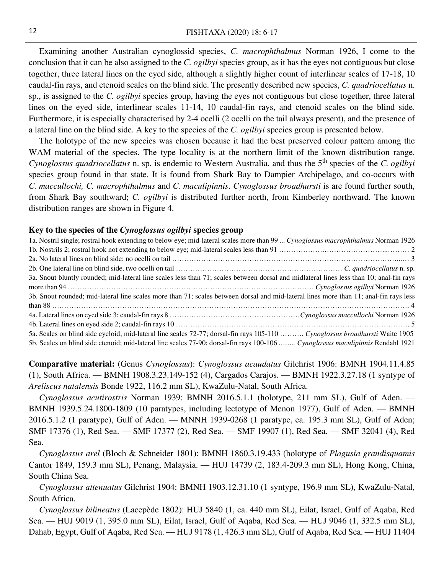Examining another Australian cynoglossid species, *C. macrophthalmus* Norman 1926, I come to the conclusion that it can be also assigned to the *C. ogilbyi* species group, as it has the eyes not contiguous but close together, three lateral lines on the eyed side, although a slightly higher count of interlinear scales of 17-18, 10 caudal-fin rays, and ctenoid scales on the blind side. The presently described new species, *C. quadriocellatus* n. sp., is assigned to the *C. ogilbyi* species group, having the eyes not contiguous but close together, three lateral lines on the eyed side, interlinear scales 11-14, 10 caudal-fin rays, and ctenoid scales on the blind side. Furthermore, it is especially characterised by 2-4 ocelli (2 ocelli on the tail always present), and the presence of a lateral line on the blind side. A key to the species of the *C. ogilbyi* species group is presented below.

The holotype of the new species was chosen because it had the best preserved colour pattern among the WAM material of the species. The type locality is at the northern limit of the known distribution range. *Cynoglossus quadriocellatus* n. sp. is endemic to Western Australia, and thus the 5th species of the *C. ogilbyi* species group found in that state. It is found from Shark Bay to Dampier Archipelago, and co-occurs with *C. maccullochi, C. macrophthalmus* and *C. maculipinnis*. *Cynoglossus broadhursti* is are found further south, from Shark Bay southward; *C. ogilbyi* is distributed further north, from Kimberley northward. The known distribution ranges are shown in Figure 4.

#### **Key to the species of the** *Cynoglossus ogilbyi* **species group**

| 1a. Nostril single; rostral hook extending to below eye; mid-lateral scales more than 99  Cynoglossus macrophthalmus Norman 1926        |  |
|-----------------------------------------------------------------------------------------------------------------------------------------|--|
|                                                                                                                                         |  |
|                                                                                                                                         |  |
|                                                                                                                                         |  |
| 3a. Snout bluntly rounded; mid-lateral line scales less than 71; scales between dorsal and midlateral lines less than 10; anal-fin rays |  |
|                                                                                                                                         |  |
| 3b. Snout rounded; mid-lateral line scales more than 71; scales between dorsal and mid-lateral lines more than 11; anal-fin rays less   |  |
|                                                                                                                                         |  |
|                                                                                                                                         |  |
|                                                                                                                                         |  |
| 5a. Scales on blind side cycloid; mid-lateral line scales 72-77; dorsal-fin rays 105-110  Cynoglossus broadhursti Waite 1905            |  |
| 5b. Scales on blind side ctenoid; mid-lateral line scales 77-90; dorsal-fin rays 100-106  Cynoglossus maculipinnis Rendahl 1921         |  |

**Comparative material:** (Genus *Cynoglossus*): *Cynoglossus acaudatus* Gilchrist 1906: BMNH 1904.11.4.85 (1), South Africa. ⸺ BMNH 1908.3.23.149-152 (4), Cargados Carajos. ⸺ BMNH 1922.3.27.18 (1 syntype of *Areliscus natalensis* Bonde 1922, 116.2 mm SL), KwaZulu-Natal, South Africa.

*Cynoglossus acutirostris* Norman 1939: BMNH 2016.5.1.1 (holotype, 211 mm SL), Gulf of Aden. ⸺ BMNH 1939.5.24.1800-1809 (10 paratypes, including lectotype of Menon 1977), Gulf of Aden. ⸺ BMNH 2016.5.1.2 (1 paratype), Gulf of Aden. ⸺ MNNH 1939-0268 (1 paratype, ca. 195.3 mm SL), Gulf of Aden; SMF 17376 (1), Red Sea. — SMF 17377 (2), Red Sea. — SMF 19907 (1), Red Sea. — SMF 32041 (4), Red Sea.

*Cynoglossus arel* (Bloch & Schneider 1801): BMNH 1860.3.19.433 (holotype of *Plagusia grandisquamis* Cantor 1849, 159.3 mm SL), Penang, Malaysia. ⸺ HUJ 14739 (2, 183.4-209.3 mm SL), Hong Kong, China, South China Sea.

*Cynoglossus attenuatus* Gilchrist 1904: BMNH 1903.12.31.10 (1 syntype, 196.9 mm SL), KwaZulu-Natal, South Africa.

*Cynoglossus bilineatus* (Lacepède 1802): HUJ 5840 (1, ca. 440 mm SL), Eilat, Israel, Gulf of Aqaba, Red Sea. ⸺ HUJ 9019 (1, 395.0 mm SL), Eilat, Israel, Gulf of Aqaba, Red Sea. ⸺ HUJ 9046 (1, 332.5 mm SL), Dahab, Egypt, Gulf of Aqaba, Red Sea. — HUJ 9178 (1, 426.3 mm SL), Gulf of Aqaba, Red Sea. — HUJ 11404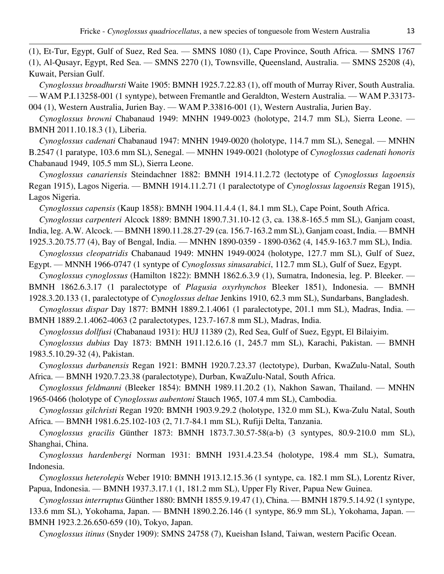(1), Et-Tur, Egypt, Gulf of Suez, Red Sea. — SMNS 1080 (1), Cape Province, South Africa. — SMNS 1767 (1), Al-Qusayr, Egypt, Red Sea. ⸺ SMNS 2270 (1), Townsville, Queensland, Australia. ⸺ SMNS 25208 (4), Kuwait, Persian Gulf.

*Cynoglossus broadhursti* Waite 1905: BMNH 1925.7.22.83 (1), off mouth of Murray River, South Australia. ⸺ WAM P.I.13258-001 (1 syntype), between Fremantle and Geraldton, Western Australia. ⸺ WAM P.33173- 004 (1), Western Australia, Jurien Bay. — WAM P.33816-001 (1), Western Australia, Jurien Bay.

*Cynoglossus browni* Chabanaud 1949: MNHN 1949-0023 (holotype, 214.7 mm SL), Sierra Leone. ⸺ BMNH 2011.10.18.3 (1), Liberia.

*Cynoglossus cadenati* Chabanaud 1947: MNHN 1949-0020 (holotype, 114.7 mm SL), Senegal. ⸺ MNHN B.2547 (1 paratype, 103.6 mm SL), Senegal. ⸺ MNHN 1949-0021 (holotype of *Cynoglossus cadenati honoris* Chabanaud 1949, 105.5 mm SL), Sierra Leone.

*Cynoglossus canariensis* Steindachner 1882: BMNH 1914.11.2.72 (lectotype of *Cynoglossus lagoensis* Regan 1915), Lagos Nigeria. ⸺ BMNH 1914.11.2.71 (1 paralectotype of *Cynoglossus lagoensis* Regan 1915), Lagos Nigeria.

*Cynoglossus capensis* (Kaup 1858): BMNH 1904.11.4.4 (1, 84.1 mm SL), Cape Point, South Africa.

*Cynoglossus carpenteri* Alcock 1889: BMNH 1890.7.31.10-12 (3, ca. 138.8-165.5 mm SL), Ganjam coast, India, leg. A.W. Alcock. ⸺ BMNH 1890.11.28.27-29 (ca. 156.7-163.2 mm SL), Ganjam coast, India. ⸺ BMNH 1925.3.20.75.77 (4), Bay of Bengal, India. ⸺ MNHN 1890-0359 - 1890-0362 (4, 145.9-163.7 mm SL), India.

*Cynoglossus cleopatridis* Chabanaud 1949: MNHN 1949-0024 (holotype, 127.7 mm SL), Gulf of Suez, Egypt. ⸺ MNNH 1966-0747 (1 syntype of *Cynoglossus sinusarabici*, 112.7 mm SL), Gulf of Suez, Egypt.

*Cynoglossus cynoglossus* (Hamilton 1822): BMNH 1862.6.3.9 (1), Sumatra, Indonesia, leg. P. Bleeker. ⸺ BMNH 1862.6.3.17 (1 paralectotype of *Plagusia oxyrhynchos* Bleeker 1851), Indonesia. ⸺ BMNH 1928.3.20.133 (1, paralectotype of *Cynoglossus deltae* Jenkins 1910, 62.3 mm SL), Sundarbans, Bangladesh.

*Cynoglossus dispar* Day 1877: BMNH 1889.2.1.4061 (1 paralectotype, 201.1 mm SL), Madras, India. ⸺ BMNH 1889.2.1.4062-4063 (2 paralectotypes, 123.7-167.8 mm SL), Madras, India.

*Cynoglossus dollfusi* (Chabanaud 1931): HUJ 11389 (2), Red Sea, Gulf of Suez, Egypt, El Bilaiyim.

*Cynoglossus dubius* Day 1873: BMNH 1911.12.6.16 (1, 245.7 mm SL), Karachi, Pakistan. ⸺ BMNH 1983.5.10.29-32 (4), Pakistan.

*Cynoglossus durbanensis* Regan 1921: BMNH 1920.7.23.37 (lectotype), Durban, KwaZulu-Natal, South Africa. ⸺ BMNH 1920.7.23.38 (paralectotype), Durban, KwaZulu-Natal, South Africa.

*Cynoglossus feldmanni* (Bleeker 1854): BMNH 1989.11.20.2 (1), Nakhon Sawan, Thailand. ⸺ MNHN 1965-0466 (holotype of *Cynoglossus aubentoni* Stauch 1965, 107.4 mm SL), Cambodia.

*Cynoglossus gilchristi* Regan 1920: BMNH 1903.9.29.2 (holotype, 132.0 mm SL), Kwa-Zulu Natal, South Africa. ⸺ BMNH 1981.6.25.102-103 (2, 71.7-84.1 mm SL), Rufiji Delta, Tanzania.

*Cynoglossus gracilis* Günther 1873: BMNH 1873.7.30.57-58(a-b) (3 syntypes, 80.9-210.0 mm SL), Shanghai, China.

*Cynoglossus hardenbergi* Norman 1931: BMNH 1931.4.23.54 (holotype, 198.4 mm SL), Sumatra, Indonesia.

*Cynoglossus heterolepis* Weber 1910: BMNH 1913.12.15.36 (1 syntype, ca. 182.1 mm SL), Lorentz River, Papua, Indonesia. ⸺ BMNH 1937.3.17.1 (1, 181.2 mm SL), Upper Fly River, Papua New Guinea.

*Cynoglossus interruptus* Günther 1880: BMNH 1855.9.19.47 (1), China. ⸺ BMNH 1879.5.14.92 (1 syntype, 133.6 mm SL), Yokohama, Japan. ⸺ BMNH 1890.2.26.146 (1 syntype, 86.9 mm SL), Yokohama, Japan. ⸺ BMNH 1923.2.26.650-659 (10), Tokyo, Japan.

*Cynoglossus itinus* (Snyder 1909): SMNS 24758 (7), Kueishan Island, Taiwan, western Pacific Ocean.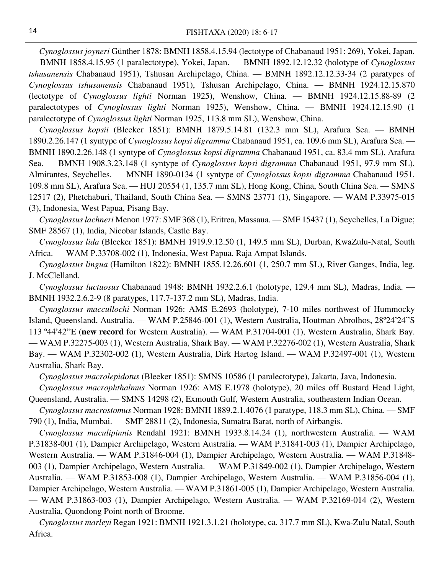*Cynoglossus joyneri* Günther 1878: BMNH 1858.4.15.94 (lectotype of Chabanaud 1951: 269), Yokei, Japan. ⸺ BMNH 1858.4.15.95 (1 paralectotype), Yokei, Japan. ⸺ BMNH 1892.12.12.32 (holotype of *Cynoglossus tshusanensis* Chabanaud 1951), Tshusan Archipelago, China. ⸺ BMNH 1892.12.12.33-34 (2 paratypes of *Cynoglossus tshusanensis* Chabanaud 1951), Tshusan Archipelago, China. ⸺ BMNH 1924.12.15.870 (lectotype of *Cynoglossus lighti* Norman 1925), Wenshow, China. ⸺ BMNH 1924.12.15.88-89 (2 paralectotypes of *Cynoglossus lighti* Norman 1925), Wenshow, China. — BMNH 1924.12.15.90 (1 paralectotype of *Cynoglossus lighti* Norman 1925, 113.8 mm SL), Wenshow, China.

*Cynoglossus kopsii* (Bleeker 1851): BMNH 1879.5.14.81 (132.3 mm SL), Arafura Sea. ⸺ BMNH 1890.2.26.147 (1 syntype of *Cynoglossus kopsi digramma* Chabanaud 1951, ca. 109.6 mm SL), Arafura Sea. ⸺ BMNH 1890.2.26.148 (1 syntype of *Cynoglossus kopsi digramma* Chabanaud 1951, ca. 83.4 mm SL), Arafura Sea. ⸺ BMNH 1908.3.23.148 (1 syntype of *Cynoglossus kopsi digramma* Chabanaud 1951, 97.9 mm SL), Almirantes, Seychelles. ⸺ MNNH 1890-0134 (1 syntype of *Cynoglossus kopsi digramma* Chabanaud 1951, 109.8 mm SL), Arafura Sea. ⸺ HUJ 20554 (1, 135.7 mm SL), Hong Kong, China, South China Sea. ⸺ SMNS 12517 (2), Phetchaburi, Thailand, South China Sea. — SMNS 23771 (1), Singapore. — WAM P.33975-015 (3), Indonesia, West Papua, Pisang Bay.

*Cynoglossus lachneri* Menon 1977: SMF 368 (1), Eritrea, Massaua. ⸺ SMF 15437 (1), Seychelles, La Digue; SMF 28567 (1), India, Nicobar Islands, Castle Bay.

*Cynoglossus lida* (Bleeker 1851): BMNH 1919.9.12.50 (1, 149.5 mm SL), Durban, KwaZulu-Natal, South Africa. ⸺ WAM P.33708-002 (1), Indonesia, West Papua, Raja Ampat Islands.

*Cynoglossus lingua* (Hamilton 1822): BMNH 1855.12.26.601 (1, 250.7 mm SL), River Ganges, India, leg. J. McClelland.

*Cynoglossus luctuosus* Chabanaud 1948: BMNH 1932.2.6.1 (holotype, 129.4 mm SL), Madras, India. ⸺ BMNH 1932.2.6.2-9 (8 paratypes, 117.7-137.2 mm SL), Madras, India.

*Cynoglossus maccullochi* Norman 1926: AMS E.2693 (holotype), 7-10 miles northwest of Hummocky Island, Queensland, Australia. ⸺ WAM P.25846-001 (1), Western Australia, Houtman Abrolhos, 28º24'24''S 113 º44'42''E (**new record** for Western Australia). ⸺ WAM P.31704-001 (1), Western Australia, Shark Bay. ⸺ WAM P.32275-003 (1), Western Australia, Shark Bay. ⸺ WAM P.32276-002 (1), Western Australia, Shark Bay. ⸺ WAM P.32302-002 (1), Western Australia, Dirk Hartog Island. ⸺ WAM P.32497-001 (1), Western Australia, Shark Bay.

*Cynoglossus macrolepidotus* (Bleeker 1851): SMNS 10586 (1 paralectotype), Jakarta, Java, Indonesia.

*Cynoglossus macrophthalmus* Norman 1926: AMS E.1978 (holotype), 20 miles off Bustard Head Light, Queensland, Australia. — SMNS 14298 (2), Exmouth Gulf, Western Australia, southeastern Indian Ocean.

*Cynoglossus macrostomus* Norman 1928: BMNH 1889.2.1.4076 (1 paratype, 118.3 mm SL), China. ⸺ SMF 790 (1), India, Mumbai. ⸺ SMF 28811 (2), Indonesia, Sumatra Barat, north of Airbangis.

*Cynoglossus maculipinnis* Rendahl 1921: BMNH 1933.8.14.24 (1), northwestern Australia. ⸺ WAM P.31838-001 (1), Dampier Archipelago, Western Australia. — WAM P.31841-003 (1), Dampier Archipelago, Western Australia. — WAM P.31846-004 (1), Dampier Archipelago, Western Australia. — WAM P.31848-003 (1), Dampier Archipelago, Western Australia. — WAM P.31849-002 (1), Dampier Archipelago, Western Australia. — WAM P.31853-008 (1), Dampier Archipelago, Western Australia. — WAM P.31856-004 (1), Dampier Archipelago, Western Australia. — WAM P.31861-005 (1), Dampier Archipelago, Western Australia. ⸺ WAM P.31863-003 (1), Dampier Archipelago, Western Australia. ⸺ WAM P.32169-014 (2), Western Australia, Quondong Point north of Broome.

*Cynoglossus marleyi* Regan 1921: BMNH 1921.3.1.21 (holotype, ca. 317.7 mm SL), Kwa-Zulu Natal, South Africa.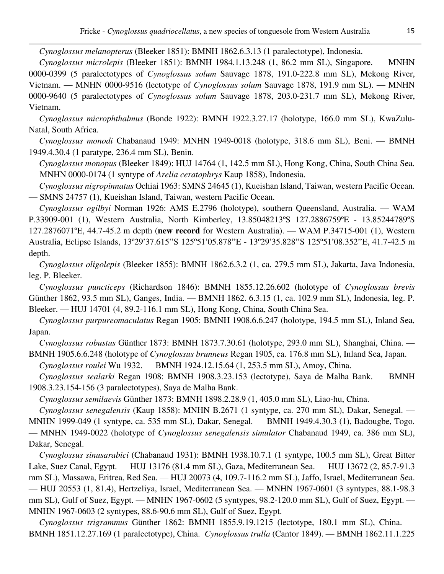*Cynoglossus melanopterus* (Bleeker 1851): BMNH 1862.6.3.13 (1 paralectotype), Indonesia.

*Cynoglossus microlepis* (Bleeker 1851): BMNH 1984.1.13.248 (1, 86.2 mm SL), Singapore. ⸺ MNHN 0000-0399 (5 paralectotypes of *Cynoglossus solum* Sauvage 1878, 191.0-222.8 mm SL), Mekong River, Vietnam. ⸺ MNHN 0000-9516 (lectotype of *Cynoglossus solum* Sauvage 1878, 191.9 mm SL). ⸺ MNHN 0000-9640 (5 paralectotypes of *Cynoglossus solum* Sauvage 1878, 203.0-231.7 mm SL), Mekong River, Vietnam.

*Cynoglossus microphthalmus* (Bonde 1922): BMNH 1922.3.27.17 (holotype, 166.0 mm SL), KwaZulu-Natal, South Africa.

*Cynoglossus monodi* Chabanaud 1949: MNHN 1949-0018 (holotype, 318.6 mm SL), Beni. ⸺ BMNH 1949.4.30.4 (1 paratype, 236.4 mm SL), Benin.

*Cynoglossus monopus* (Bleeker 1849): HUJ 14764 (1, 142.5 mm SL), Hong Kong, China, South China Sea. ⸺ MNHN 0000-0174 (1 syntype of *Arelia ceratophrys* Kaup 1858), Indonesia.

*Cynoglossus nigropinnatus* Ochiai 1963: SMNS 24645 (1), Kueishan Island, Taiwan, western Pacific Ocean. ⸺ SMNS 24757 (1), Kueishan Island, Taiwan, western Pacific Ocean.

*Cynoglossus ogilbyi* Norman 1926: AMS E.2796 (holotype), southern Queensland, Australia. ⸺ WAM P.33909-001 (1), Western Australia, North Kimberley, 13.85048213°S 127.2886759°E - 13.85244789°S 127.2876071ºE, 44.7-45.2 m depth (**new record** for Western Australia). ⸺ WAM P.34715-001 (1), Western Australia, Eclipse Islands, 13º29'37.615''S 125º51'05.878''E - 13º29'35.828''S 125º51'08.352''E, 41.7-42.5 m depth.

*Cynoglossus oligolepis* (Bleeker 1855): BMNH 1862.6.3.2 (1, ca. 279.5 mm SL), Jakarta, Java Indonesia, leg. P. Bleeker.

*Cynoglossus puncticeps* (Richardson 1846): BMNH 1855.12.26.602 (holotype of *Cynoglossus brevis* Günther 1862, 93.5 mm SL), Ganges, India. ⸺ BMNH 1862. 6.3.15 (1, ca. 102.9 mm SL), Indonesia, leg. P. Bleeker. ⸺ HUJ 14701 (4, 89.2-116.1 mm SL), Hong Kong, China, South China Sea.

*Cynoglossus purpureomaculatus* Regan 1905: BMNH 1908.6.6.247 (holotype, 194.5 mm SL), Inland Sea, Japan.

*Cynoglossus robustus* Günther 1873: BMNH 1873.7.30.61 (holotype, 293.0 mm SL), Shanghai, China. ⸺ BMNH 1905.6.6.248 (holotype of *Cynoglossus brunneus* Regan 1905, ca. 176.8 mm SL), Inland Sea, Japan.

*Cynoglossus roulei* Wu 1932. ⸺ BMNH 1924.12.15.64 (1, 253.5 mm SL), Amoy, China.

*Cynoglossus sealarki* Regan 1908: BMNH 1908.3.23.153 (lectotype), Saya de Malha Bank. ⸺ BMNH 1908.3.23.154-156 (3 paralectotypes), Saya de Malha Bank.

*Cynoglossus semilaevis* Günther 1873: BMNH 1898.2.28.9 (1, 405.0 mm SL), Liao-hu, China.

*Cynoglossus senegalensis* (Kaup 1858): MNHN B.2671 (1 syntype, ca. 270 mm SL), Dakar, Senegal. ⸺ MNHN 1999-049 (1 syntype, ca. 535 mm SL), Dakar, Senegal. ⸺ BMNH 1949.4.30.3 (1), Badougbe, Togo.

⸺ MNHN 1949-0022 (holotype of *Cynoglossus senegalensis simulator* Chabanaud 1949, ca. 386 mm SL), Dakar, Senegal.

*Cynoglossus sinusarabici* (Chabanaud 1931): BMNH 1938.10.7.1 (1 syntype, 100.5 mm SL), Great Bitter Lake, Suez Canal, Egypt. ⸺ HUJ 13176 (81.4 mm SL), Gaza, Mediterranean Sea. ⸺ HUJ 13672 (2, 85.7-91.3 mm SL), Massawa, Eritrea, Red Sea. — HUJ 20073 (4, 109.7-116.2 mm SL), Jaffo, Israel, Mediterranean Sea. ⸺ HUJ 20553 (1, 81.4), Hertzeliya, Israel, Mediterranean Sea. ⸺ MNHN 1967-0601 (3 syntypes, 88.1-98.3 mm SL), Gulf of Suez, Egypt. — MNHN 1967-0602 (5 syntypes, 98.2-120.0 mm SL), Gulf of Suez, Egypt. — MNHN 1967-0603 (2 syntypes, 88.6-90.6 mm SL), Gulf of Suez, Egypt.

*Cynoglossus trigrammus* Günther 1862: BMNH 1855.9.19.1215 (lectotype, 180.1 mm SL), China. ⸺ BMNH 1851.12.27.169 (1 paralectotype), China. *Cynoglossus trulla* (Cantor 1849). ⸺ BMNH 1862.11.1.225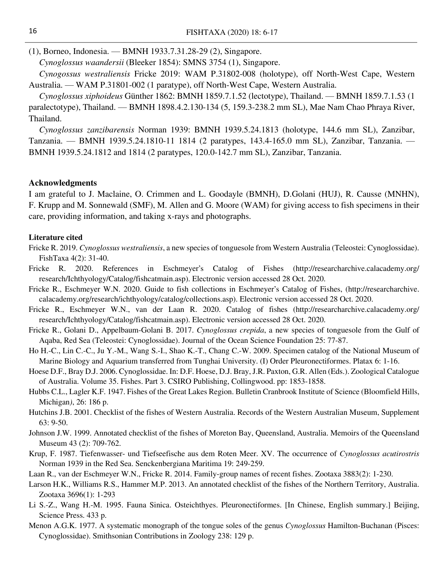(1), Borneo, Indonesia. ⸺ BMNH 1933.7.31.28-29 (2), Singapore.

*Cynoglossus waandersii* (Bleeker 1854): SMNS 3754 (1), Singapore.

*Cynogossus westraliensis* Fricke 2019: WAM P.31802-008 (holotype), off North-West Cape, Western Australia. ⸺ WAM P.31801-002 (1 paratype), off North-West Cape, Western Australia.

*Cynoglossus xiphoideus* Günther 1862: BMNH 1859.7.1.52 (lectotype), Thailand. ⸺ BMNH 1859.7.1.53 (1 paralectotype), Thailand. ⸺ BMNH 1898.4.2.130-134 (5, 159.3-238.2 mm SL), Mae Nam Chao Phraya River, Thailand.

*Cynoglossus zanzibarensis* Norman 1939: BMNH 1939.5.24.1813 (holotype, 144.6 mm SL), Zanzibar, Tanzania. ⸺ BMNH 1939.5.24.1810-11 1814 (2 paratypes, 143.4-165.0 mm SL), Zanzibar, Tanzania. ⸺ BMNH 1939.5.24.1812 and 1814 (2 paratypes, 120.0-142.7 mm SL), Zanzibar, Tanzania.

#### **Acknowledgments**

I am grateful to J. Maclaine, O. Crimmen and L. Goodayle (BMNH), D.Golani (HUJ), R. Causse (MNHN), F. Krupp and M. Sonnewald (SMF), M. Allen and G. Moore (WAM) for giving access to fish specimens in their care, providing information, and taking x-rays and photographs.

#### **Literature cited**

- Fricke R. 2019. *Cynoglossus westraliensis*, a new species of tonguesole from Western Australia (Teleostei: Cynoglossidae). FishTaxa 4(2): 31-40.
- Fricke R. 2020. References in Eschmeyer's Catalog of Fishes (http://researcharchive.calacademy.org/ research/Ichthyology/Catalog/fishcatmain.asp). Electronic version accessed 28 Oct. 2020.
- Fricke R., Eschmeyer W.N. 2020. Guide to fish collections in Eschmeyer's Catalog of Fishes, (http://researcharchive. calacademy.org/research/ichthyology/catalog/collections.asp). Electronic version accessed 28 Oct. 2020.
- Fricke R., Eschmeyer W.N., van der Laan R. 2020. Catalog of fishes (http://researcharchive.calacademy.org/ research/Ichthyology/Catalog/fishcatmain.asp). Electronic version accessed 28 Oct. 2020.
- Fricke R., Golani D., Appelbaum-Golani B. 2017. *Cynoglossus crepida*, a new species of tonguesole from the Gulf of Aqaba, Red Sea (Teleostei: Cynoglossidae). Journal of the Ocean Science Foundation 25: 77-87.
- Ho H.-C., Lin C.-C., Ju Y.-M., Wang S.-I., Shao K.-T., Chang C.-W. 2009. Specimen catalog of the National Museum of Marine Biology and Aquarium transferred from Tunghai University. (I) Order Pleuronectiformes. Platax 6: 1-16.
- Hoese D.F., Bray D.J. 2006. Cynoglossidae. In: D.F. Hoese, D.J. Bray, J.R. Paxton, G.R. Allen (Eds.). Zoological Catalogue of Australia. Volume 35. Fishes. Part 3. CSIRO Publishing, Collingwood. pp: 1853-1858.
- Hubbs C.L., Lagler K.F. 1947. Fishes of the Great Lakes Region. Bulletin Cranbrook Institute of Science (Bloomfield Hills, Michigan*)*, 26: 186 p.
- Hutchins J.B. 2001. Checklist of the fishes of Western Australia. Records of the Western Australian Museum, Supplement 63: 9-50.
- Johnson J.W. 1999. Annotated checklist of the fishes of Moreton Bay, Queensland, Australia. Memoirs of the Queensland Museum 43 (2): 709-762.
- Krup, F. 1987. Tiefenwasser- und Tiefseefische aus dem Roten Meer. XV. The occurrence of *Cynoglossus acutirostris* Norman 1939 in the Red Sea. Senckenbergiana Maritima 19: 249-259.
- Laan R., van der Eschmeyer W.N., Fricke R. 2014. Family-group names of recent fishes. Zootaxa 3883(2): 1-230.
- Larson H.K., Williams R.S., Hammer M.P. 2013. An annotated checklist of the fishes of the Northern Territory, Australia. Zootaxa 3696(1): 1-293
- Li S.-Z., Wang H.-M. 1995. Fauna Sinica. Osteichthyes. Pleuronectiformes. [In Chinese, English summary.] Beijing, Science Press. 433 p.
- Menon A.G.K. 1977. A systematic monograph of the tongue soles of the genus *Cynoglossus* Hamilton-Buchanan (Pisces: Cynoglossidae). Smithsonian Contributions in Zoology 238: 129 p.